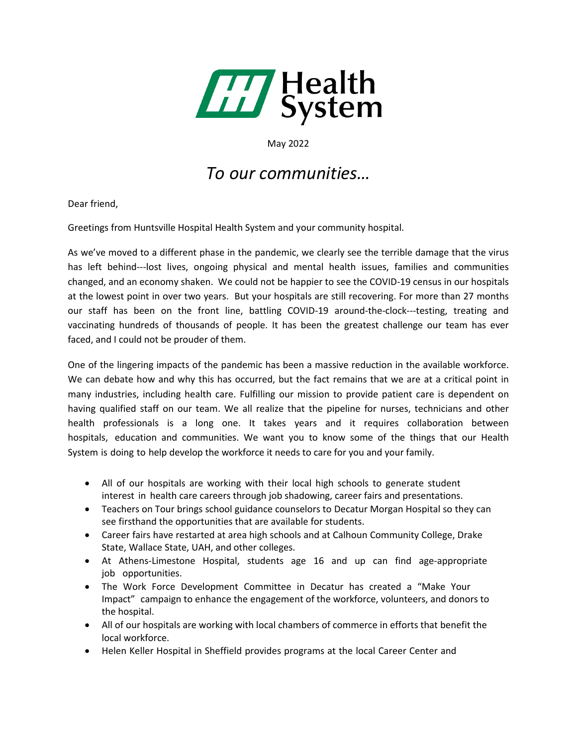

May 2022

## *To our communities…*

Dear friend,

Greetings from Huntsville Hospital Health System and your community hospital.

As we've moved to a different phase in the pandemic, we clearly see the terrible damage that the virus has left behind---lost lives, ongoing physical and mental health issues, families and communities changed, and an economy shaken. We could not be happier to see the COVID-19 census in our hospitals at the lowest point in over two years. But your hospitals are still recovering. For more than 27 months our staff has been on the front line, battling COVID-19 around-the-clock---testing, treating and vaccinating hundreds of thousands of people. It has been the greatest challenge our team has ever faced, and I could not be prouder of them.

One of the lingering impacts of the pandemic has been a massive reduction in the available workforce. We can debate how and why this has occurred, but the fact remains that we are at a critical point in many industries, including health care. Fulfilling our mission to provide patient care is dependent on having qualified staff on our team. We all realize that the pipeline for nurses, technicians and other health professionals is a long one. It takes years and it requires collaboration between hospitals, education and communities. We want you to know some of the things that our Health System is doing to help develop the workforce it needs to care for you and your family.

- All of our hospitals are working with their local high schools to generate student interest in health care careers through job shadowing, career fairs and presentations.
- Teachers on Tour brings school guidance counselors to Decatur Morgan Hospital so they can see firsthand the opportunities that are available for students.
- Career fairs have restarted at area high schools and at Calhoun Community College, Drake State, Wallace State, UAH, and other colleges.
- At Athens-Limestone Hospital, students age 16 and up can find age-appropriate job opportunities.
- The Work Force Development Committee in Decatur has created a "Make Your Impact" campaign to enhance the engagement of the workforce, volunteers, and donors to the hospital.
- All of our hospitals are working with local chambers of commerce in efforts that benefit the local workforce.
- Helen Keller Hospital in Sheffield provides programs at the local Career Center and